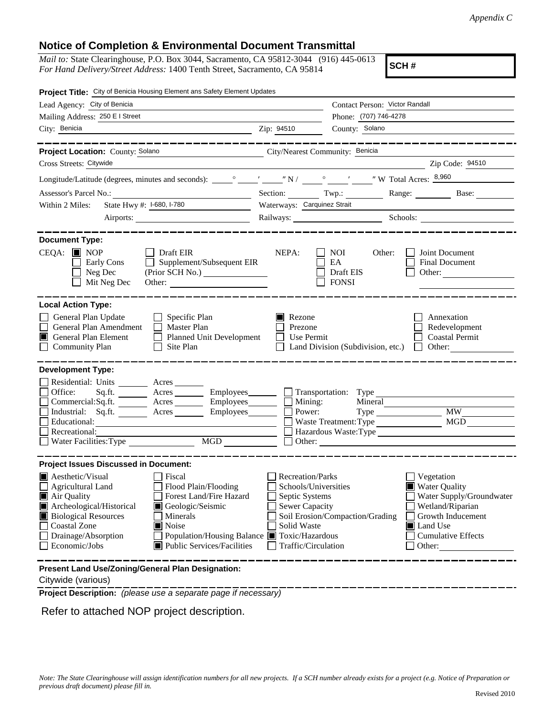## **Notice of Completion & Environmental Document Transmittal**

*Mail to:* State Clearinghouse, P.O. Box 3044, Sacramento, CA 95812-3044 (916) 445-0613 *For Hand Delivery/Street Address:* 1400 Tenth Street, Sacramento, CA 95814

**SCH #**

| Project Title: City of Benicia Housing Element ans Safety Element Updates                                                                                                                                                                                                                                                                                                                                                                                                           |                                                                                                                                                                           |                                                       |                                                                                                                                                     |
|-------------------------------------------------------------------------------------------------------------------------------------------------------------------------------------------------------------------------------------------------------------------------------------------------------------------------------------------------------------------------------------------------------------------------------------------------------------------------------------|---------------------------------------------------------------------------------------------------------------------------------------------------------------------------|-------------------------------------------------------|-----------------------------------------------------------------------------------------------------------------------------------------------------|
| Lead Agency: City of Benicia                                                                                                                                                                                                                                                                                                                                                                                                                                                        |                                                                                                                                                                           | Contact Person: Victor Randall                        |                                                                                                                                                     |
| Mailing Address: 250 E I Street                                                                                                                                                                                                                                                                                                                                                                                                                                                     |                                                                                                                                                                           | Phone: (707) 746-4278                                 |                                                                                                                                                     |
| City: Benicia                                                                                                                                                                                                                                                                                                                                                                                                                                                                       | Zip: 94510                                                                                                                                                                | County: Solano                                        |                                                                                                                                                     |
|                                                                                                                                                                                                                                                                                                                                                                                                                                                                                     |                                                                                                                                                                           |                                                       |                                                                                                                                                     |
| Project Location: County: Solano                                                                                                                                                                                                                                                                                                                                                                                                                                                    | City/Nearest Community: Benicia                                                                                                                                           |                                                       |                                                                                                                                                     |
| Cross Streets: Citywide                                                                                                                                                                                                                                                                                                                                                                                                                                                             |                                                                                                                                                                           |                                                       | Zip Code: 94510                                                                                                                                     |
|                                                                                                                                                                                                                                                                                                                                                                                                                                                                                     |                                                                                                                                                                           |                                                       |                                                                                                                                                     |
| Assessor's Parcel No.:<br><u> 1989 - Johann Barbara, martxa alemaniar a</u>                                                                                                                                                                                                                                                                                                                                                                                                         | Section: Twp.:                                                                                                                                                            |                                                       | Range: Base:                                                                                                                                        |
| State Hwy #: 1-680, 1-780<br>Within 2 Miles:<br>$\label{eq:2.1} \frac{1}{\sqrt{2\pi}}\left(\frac{1}{\sqrt{2\pi}}\right)^{1/2}\left(\frac{1}{\sqrt{2\pi}}\right)^{1/2}\left(\frac{1}{\sqrt{2\pi}}\right)^{1/2}\left(\frac{1}{\sqrt{2\pi}}\right)^{1/2}\left(\frac{1}{\sqrt{2\pi}}\right)^{1/2}\left(\frac{1}{\sqrt{2\pi}}\right)^{1/2}\left(\frac{1}{\sqrt{2\pi}}\right)^{1/2}\left(\frac{1}{\sqrt{2\pi}}\right)^{1/2}\left(\frac{1}{\sqrt{2\pi}}\right)^{1/2}\left(\frac{1}{\sqrt{$ | Waterways: Carquinez Strait                                                                                                                                               |                                                       |                                                                                                                                                     |
|                                                                                                                                                                                                                                                                                                                                                                                                                                                                                     |                                                                                                                                                                           |                                                       | Railways: Schools: Schools:                                                                                                                         |
|                                                                                                                                                                                                                                                                                                                                                                                                                                                                                     |                                                                                                                                                                           |                                                       |                                                                                                                                                     |
| <b>Document Type:</b><br>$CEQA:$ MOP<br>$\Box$ Draft EIR<br>$\Box$ Supplement/Subsequent EIR<br>Early Cons<br>Neg Dec<br>Mit Neg Dec<br>Other:                                                                                                                                                                                                                                                                                                                                      | NEPA:                                                                                                                                                                     | NOI.<br>Other:<br>EA<br>Draft EIS<br><b>FONSI</b>     | Joint Document<br><b>Final Document</b><br>Other:                                                                                                   |
| <b>Local Action Type:</b><br>General Plan Update<br>$\Box$ Specific Plan<br>General Plan Amendment<br>$\Box$ Master Plan<br><b>General Plan Element</b><br>Planned Unit Development<br>Ш<br><b>Community Plan</b><br>Site Plan<br>$\Box$                                                                                                                                                                                                                                            | Rezone<br>Prezone<br>Use Permit                                                                                                                                           | Land Division (Subdivision, etc.)                     | Annexation<br>Redevelopment<br><b>Coastal Permit</b><br>$\Box$ Other:                                                                               |
| <b>Development Type:</b>                                                                                                                                                                                                                                                                                                                                                                                                                                                            |                                                                                                                                                                           |                                                       |                                                                                                                                                     |
| Residential: Units ________ Acres _______<br>Office:<br>Sq.fit.<br>Commercial:Sq.ft. <u>Acres</u> Acres Employees<br>Industrial: Sq.ft. _______ Acres ________ Employees _______ $\Box$<br>Educational:<br>Recreational:<br>MGD<br>Water Facilities: Type                                                                                                                                                                                                                           | Acres Employees Transportation: Type                                                                                                                                      | Mining:<br>Mineral<br>Power:<br>Waste Treatment: Type | $Type$ $MW$<br>MGD<br>Hazardous Waste:Type<br>Other:                                                                                                |
| <b>Project Issues Discussed in Document:</b>                                                                                                                                                                                                                                                                                                                                                                                                                                        |                                                                                                                                                                           |                                                       |                                                                                                                                                     |
| $\blacksquare$ Aesthetic/Visual<br>Fiscal<br>Flood Plain/Flooding<br>Agricultural Land<br>Forest Land/Fire Hazard<br>Air Quality<br>Archeological/Historical<br>Geologic/Seismic<br>Ш<br><b>Biological Resources</b><br>Minerals<br><b>Coastal Zone</b><br>$\blacksquare$ Noise<br>Drainage/Absorption<br>Economic/Jobs<br>Public Services/Facilities                                                                                                                               | <b>Recreation/Parks</b><br>Schools/Universities<br>Septic Systems<br>Sewer Capacity<br>Solid Waste<br>Population/Housing Balance ■ Toxic/Hazardous<br>Traffic/Circulation | Soil Erosion/Compaction/Grading                       | Vegetation<br>Water Quality<br>Water Supply/Groundwater<br>Wetland/Riparian<br>Growth Inducement<br>Land Use<br><b>Cumulative Effects</b><br>Other: |
| Present Land Use/Zoning/General Plan Designation:                                                                                                                                                                                                                                                                                                                                                                                                                                   |                                                                                                                                                                           |                                                       |                                                                                                                                                     |

Citywide (various)

**Project Description:** *(please use a separate page if necessary)*

Refer to attached NOP project description.